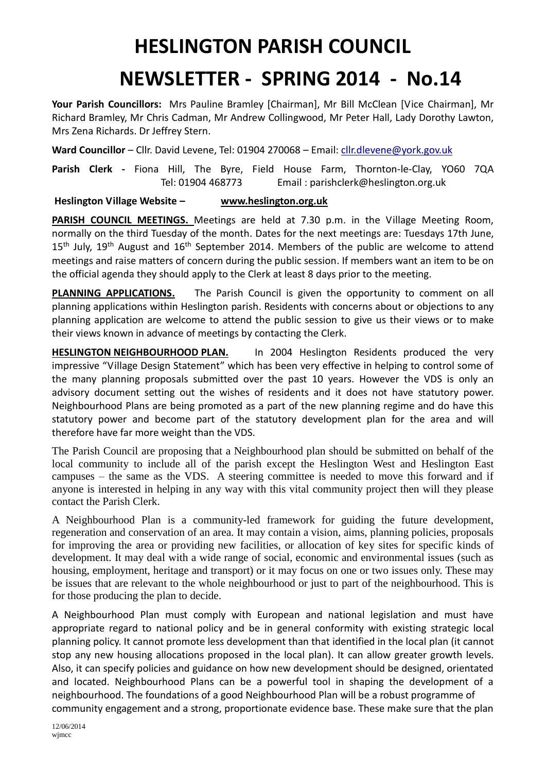## **HESLINGTON PARISH COUNCIL**

## **NEWSLETTER - SPRING 2014 - No.14**

**Your Parish Councillors:** Mrs Pauline Bramley [Chairman], Mr Bill McClean [Vice Chairman], Mr Richard Bramley, Mr Chris Cadman, Mr Andrew Collingwood, Mr Peter Hall, Lady Dorothy Lawton, Mrs Zena Richards. Dr Jeffrey Stern.

**Ward Councillor** – Cllr. David Levene, Tel: 01904 270068 – Email: [cllr.dlevene@york.gov.uk](mailto:cllr.dlevene@york.gov.uk)

**Parish Clerk -** Fiona Hill, The Byre, Field House Farm, Thornton-le-Clay, YO60 7QA Tel: 01904 468773 Email : parishclerk@heslington.org.uk

## **Heslington Village Website – [www.heslington.org.uk](http://www.heslington.org.uk/)**

**PARISH COUNCIL MEETINGS.** Meetings are held at 7.30 p.m. in the Village Meeting Room, normally on the third Tuesday of the month. Dates for the next meetings are: Tuesdays 17th June,  $15<sup>th</sup>$  July,  $19<sup>th</sup>$  August and  $16<sup>th</sup>$  September 2014. Members of the public are welcome to attend meetings and raise matters of concern during the public session. If members want an item to be on the official agenda they should apply to the Clerk at least 8 days prior to the meeting.

**PLANNING APPLICATIONS.** The Parish Council is given the opportunity to comment on all planning applications within Heslington parish. Residents with concerns about or objections to any planning application are welcome to attend the public session to give us their views or to make their views known in advance of meetings by contacting the Clerk.

**HESLINGTON NEIGHBOURHOOD PLAN.** In 2004 Heslington Residents produced the very impressive "Village Design Statement" which has been very effective in helping to control some of the many planning proposals submitted over the past 10 years. However the VDS is only an advisory document setting out the wishes of residents and it does not have statutory power. Neighbourhood Plans are being promoted as a part of the new planning regime and do have this statutory power and become part of the statutory development plan for the area and will therefore have far more weight than the VDS.

The Parish Council are proposing that a Neighbourhood plan should be submitted on behalf of the local community to include all of the parish except the Heslington West and Heslington East campuses – the same as the VDS. A steering committee is needed to move this forward and if anyone is interested in helping in any way with this vital community project then will they please contact the Parish Clerk.

A Neighbourhood Plan is a community-led framework for guiding the future development, regeneration and conservation of an area. It may contain a vision, aims, planning policies, proposals for improving the area or providing new facilities, or allocation of key sites for specific kinds of development. It may deal with a wide range of social, economic and environmental issues (such as housing, employment, heritage and transport) or it may focus on one or two issues only. These may be issues that are relevant to the whole neighbourhood or just to part of the neighbourhood. This is for those producing the plan to decide.

A Neighbourhood Plan must comply with European and national legislation and must have appropriate regard to national policy and be in general conformity with existing strategic local planning policy. It cannot promote less development than that identified in the local plan (it cannot stop any new housing allocations proposed in the local plan). It can allow greater growth levels. Also, it can specify policies and guidance on how new development should be designed, orientated and located. Neighbourhood Plans can be a powerful tool in shaping the development of a neighbourhood. The foundations of a good Neighbourhood Plan will be a robust programme of community engagement and a strong, proportionate evidence base. These make sure that the plan